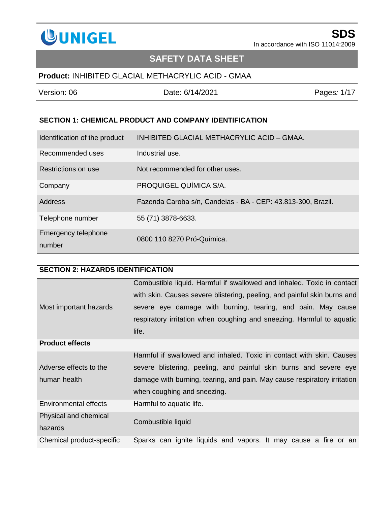

## **SAFETY DATA SHEET**

## **Product:** INHIBITED GLACIAL METHACRYLIC ACID - GMAA

| Version: 06 | Date: 6/14/2021 |
|-------------|-----------------|
|             |                 |

Pages:  $1/17$ 

#### **SECTION 1: CHEMICAL PRODUCT AND COMPANY IDENTIFICATION**

| Identification of the product | INHIBITED GLACIAL METHACRYLIC ACID - GMAA.                   |
|-------------------------------|--------------------------------------------------------------|
| Recommended uses              | Industrial use.                                              |
| Restrictions on use           | Not recommended for other uses.                              |
| Company                       | PROQUIGEL QUÍMICA S/A.                                       |
| Address                       | Fazenda Caroba s/n, Candeias - BA - CEP: 43.813-300, Brazil. |
| Telephone number              | 55 (71) 3878-6633.                                           |
| Emergency telephone<br>number | 0800 110 8270 Pró-Química.                                   |

## **SECTION 2: HAZARDS IDENTIFICATION**

|                           | Combustible liquid. Harmful if swallowed and inhaled. Toxic in contact   |
|---------------------------|--------------------------------------------------------------------------|
|                           | with skin. Causes severe blistering, peeling, and painful skin burns and |
| Most important hazards    | severe eye damage with burning, tearing, and pain. May cause             |
|                           | respiratory irritation when coughing and sneezing. Harmful to aquatic    |
|                           | life.                                                                    |
| <b>Product effects</b>    |                                                                          |
|                           | Harmful if swallowed and inhaled. Toxic in contact with skin. Causes     |
| Adverse effects to the    | severe blistering, peeling, and painful skin burns and severe eye        |
| human health              | damage with burning, tearing, and pain. May cause respiratory irritation |
|                           | when coughing and sneezing.                                              |
| Environmental effects     | Harmful to aquatic life.                                                 |
| Physical and chemical     | Combustible liquid                                                       |
| hazards                   |                                                                          |
| Chemical product-specific | Sparks can ignite liquids and vapors. It may cause a fire or an          |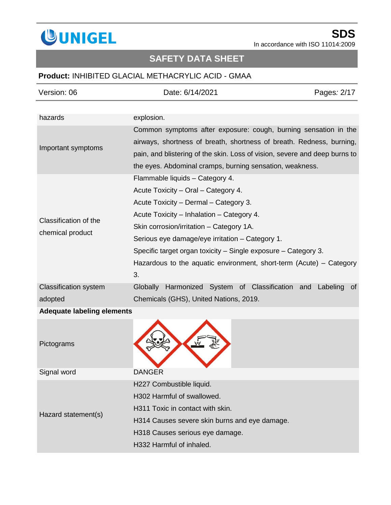

# **SAFETY DATA SHEET**

## **Product:** INHIBITED GLACIAL METHACRYLIC ACID - GMAA

| Version: 06                       | Date: 6/14/2021                                                                                                                                                                                                                                                                   | Pages: 2/17           |
|-----------------------------------|-----------------------------------------------------------------------------------------------------------------------------------------------------------------------------------------------------------------------------------------------------------------------------------|-----------------------|
|                                   |                                                                                                                                                                                                                                                                                   |                       |
| hazards                           | explosion.                                                                                                                                                                                                                                                                        |                       |
| Important symptoms                | Common symptoms after exposure: cough, burning sensation in the<br>airways, shortness of breath, shortness of breath. Redness, burning,<br>pain, and blistering of the skin. Loss of vision, severe and deep burns to<br>the eyes. Abdominal cramps, burning sensation, weakness. |                       |
|                                   | Flammable liquids - Category 4.                                                                                                                                                                                                                                                   |                       |
|                                   | Acute Toxicity - Oral - Category 4.                                                                                                                                                                                                                                               |                       |
|                                   | Acute Toxicity - Dermal - Category 3.                                                                                                                                                                                                                                             |                       |
|                                   | Acute Toxicity - Inhalation - Category 4.                                                                                                                                                                                                                                         |                       |
| Classification of the             | Skin corrosion/irritation - Category 1A.                                                                                                                                                                                                                                          |                       |
| chemical product                  | Serious eye damage/eye irritation – Category 1.                                                                                                                                                                                                                                   |                       |
|                                   | Specific target organ toxicity – Single exposure – Category 3.                                                                                                                                                                                                                    |                       |
|                                   | Hazardous to the aquatic environment, short-term (Acute) $-$ Category                                                                                                                                                                                                             |                       |
|                                   | 3.                                                                                                                                                                                                                                                                                |                       |
| <b>Classification system</b>      | Harmonized System of Classification and<br>Globally                                                                                                                                                                                                                               | Labeling<br><b>of</b> |
| adopted                           | Chemicals (GHS), United Nations, 2019.                                                                                                                                                                                                                                            |                       |
| <b>Adequate labeling elements</b> |                                                                                                                                                                                                                                                                                   |                       |
| Pictograms                        |                                                                                                                                                                                                                                                                                   |                       |
| Signal word                       | <b>DANGER</b>                                                                                                                                                                                                                                                                     |                       |
|                                   | H227 Combustible liquid.                                                                                                                                                                                                                                                          |                       |
|                                   | H302 Harmful of swallowed.                                                                                                                                                                                                                                                        |                       |
|                                   | H311 Toxic in contact with skin.                                                                                                                                                                                                                                                  |                       |
| Hazard statement(s)               | H314 Causes severe skin burns and eye damage.                                                                                                                                                                                                                                     |                       |
|                                   |                                                                                                                                                                                                                                                                                   |                       |

H318 Causes serious eye damage.

H332 Harmful of inhaled.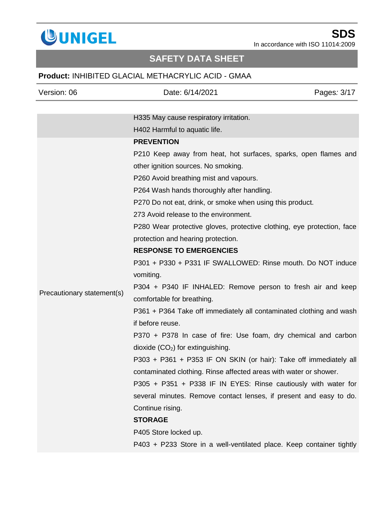

# **SAFETY DATA SHEET**

## **Product:** INHIBITED GLACIAL METHACRYLIC ACID - GMAA

| Version: 06                | Date: 6/14/2021                                                        | Pages: 3/17 |
|----------------------------|------------------------------------------------------------------------|-------------|
|                            |                                                                        |             |
|                            | H335 May cause respiratory irritation.                                 |             |
|                            | H402 Harmful to aquatic life.                                          |             |
|                            | <b>PREVENTION</b>                                                      |             |
|                            | P210 Keep away from heat, hot surfaces, sparks, open flames and        |             |
|                            | other ignition sources. No smoking.                                    |             |
|                            | P260 Avoid breathing mist and vapours.                                 |             |
|                            | P264 Wash hands thoroughly after handling.                             |             |
|                            | P270 Do not eat, drink, or smoke when using this product.              |             |
|                            | 273 Avoid release to the environment.                                  |             |
|                            | P280 Wear protective gloves, protective clothing, eye protection, face |             |
|                            | protection and hearing protection.                                     |             |
|                            | <b>RESPONSE TO EMERGENCIES</b>                                         |             |
|                            | P301 + P330 + P331 IF SWALLOWED: Rinse mouth. Do NOT induce            |             |
|                            | vomiting.                                                              |             |
| Precautionary statement(s) | P304 + P340 IF INHALED: Remove person to fresh air and keep            |             |
|                            | comfortable for breathing.                                             |             |
|                            | P361 + P364 Take off immediately all contaminated clothing and wash    |             |
|                            | if before reuse.                                                       |             |
|                            | P370 + P378 In case of fire: Use foam, dry chemical and carbon         |             |
|                            | $divide (CO2)$ for extinguishing.                                      |             |
|                            | P303 + P361 + P353 IF ON SKIN (or hair): Take off immediately all      |             |
|                            | contaminated clothing. Rinse affected areas with water or shower.      |             |
|                            | P305 + P351 + P338 IF IN EYES: Rinse cautiously with water for         |             |
|                            | several minutes. Remove contact lenses, if present and easy to do.     |             |
|                            | Continue rising.                                                       |             |
|                            | <b>STORAGE</b>                                                         |             |
|                            | P405 Store locked up.                                                  |             |
|                            | P403 + P233 Store in a well-ventilated place. Keep container tightly   |             |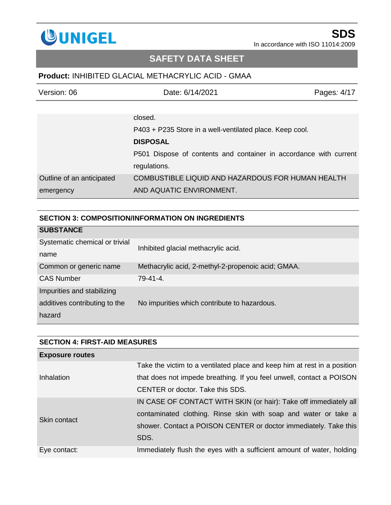

## **SAFETY DATA SHEET**

## **Product:** INHIBITED GLACIAL METHACRYLIC ACID - GMAA

| Version: 06               | Date: 6/14/2021                                                   | Pages: 4/17 |
|---------------------------|-------------------------------------------------------------------|-------------|
|                           |                                                                   |             |
|                           | closed.                                                           |             |
|                           | P403 + P235 Store in a well-ventilated place. Keep cool.          |             |
|                           | <b>DISPOSAL</b>                                                   |             |
|                           | P501 Dispose of contents and container in accordance with current |             |
|                           | regulations.                                                      |             |
| Outline of an anticipated | COMBUSTIBLE LIQUID AND HAZARDOUS FOR HUMAN HEALTH                 |             |
| emergency                 | AND AQUATIC ENVIRONMENT.                                          |             |

#### **SECTION 3: COMPOSITION/INFORMATION ON INGREDIENTS**

| <b>SUBSTANCE</b>               |                                                    |
|--------------------------------|----------------------------------------------------|
| Systematic chemical or trivial | Inhibited glacial methacrylic acid.                |
| name                           |                                                    |
| Common or generic name         | Methacrylic acid, 2-methyl-2-propenoic acid; GMAA. |
| <b>CAS Number</b>              | 79-41-4.                                           |
| Impurities and stabilizing     |                                                    |
| additives contributing to the  | No impurities which contribute to hazardous.       |
| hazard                         |                                                    |

| <b>SECTION 4: FIRST-AID MEASURES</b> |                                                                          |  |
|--------------------------------------|--------------------------------------------------------------------------|--|
| <b>Exposure routes</b>               |                                                                          |  |
|                                      | Take the victim to a ventilated place and keep him at rest in a position |  |
| Inhalation                           | that does not impede breathing. If you feel unwell, contact a POISON     |  |
|                                      | CENTER or doctor. Take this SDS.                                         |  |
| Skin contact                         | IN CASE OF CONTACT WITH SKIN (or hair): Take off immediately all         |  |
|                                      | contaminated clothing. Rinse skin with soap and water or take a          |  |
|                                      | shower. Contact a POISON CENTER or doctor immediately. Take this         |  |
|                                      | SDS.                                                                     |  |
| Eye contact:                         | Immediately flush the eyes with a sufficient amount of water, holding    |  |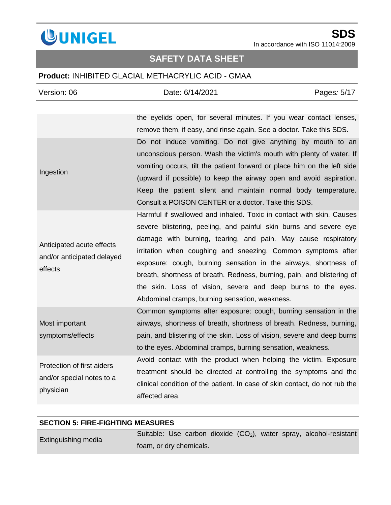

## **SAFETY DATA SHEET**

## **Product:** INHIBITED GLACIAL METHACRYLIC ACID - GMAA

| Version: 06                                                          | Date: 6/14/2021                                                                                                                                                                                                                                                                                                                                                                                                                                                                                                                           | Pages: 5/17 |
|----------------------------------------------------------------------|-------------------------------------------------------------------------------------------------------------------------------------------------------------------------------------------------------------------------------------------------------------------------------------------------------------------------------------------------------------------------------------------------------------------------------------------------------------------------------------------------------------------------------------------|-------------|
|                                                                      | the eyelids open, for several minutes. If you wear contact lenses,<br>remove them, if easy, and rinse again. See a doctor. Take this SDS.                                                                                                                                                                                                                                                                                                                                                                                                 |             |
| Ingestion                                                            | Do not induce vomiting. Do not give anything by mouth to an<br>unconscious person. Wash the victim's mouth with plenty of water. If<br>vomiting occurs, tilt the patient forward or place him on the left side<br>(upward if possible) to keep the airway open and avoid aspiration.<br>Keep the patient silent and maintain normal body temperature.<br>Consult a POISON CENTER or a doctor. Take this SDS.                                                                                                                              |             |
| Anticipated acute effects<br>and/or anticipated delayed<br>effects   | Harmful if swallowed and inhaled. Toxic in contact with skin. Causes<br>severe blistering, peeling, and painful skin burns and severe eye<br>damage with burning, tearing, and pain. May cause respiratory<br>irritation when coughing and sneezing. Common symptoms after<br>exposure: cough, burning sensation in the airways, shortness of<br>breath, shortness of breath. Redness, burning, pain, and blistering of<br>the skin. Loss of vision, severe and deep burns to the eyes.<br>Abdominal cramps, burning sensation, weakness. |             |
| Most important<br>symptoms/effects                                   | Common symptoms after exposure: cough, burning sensation in the<br>airways, shortness of breath, shortness of breath. Redness, burning,<br>pain, and blistering of the skin. Loss of vision, severe and deep burns<br>to the eyes. Abdominal cramps, burning sensation, weakness.                                                                                                                                                                                                                                                         |             |
| Protection of first aiders<br>and/or special notes to a<br>physician | Avoid contact with the product when helping the victim. Exposure<br>treatment should be directed at controlling the symptoms and the<br>clinical condition of the patient. In case of skin contact, do not rub the<br>affected area.                                                                                                                                                                                                                                                                                                      |             |

#### **SECTION 5: FIRE-FIGHTING MEASURES**

Extinguishing media

Suitable: Use carbon dioxide (CO<sub>2</sub>), water spray, alcohol-resistant foam, or dry chemicals.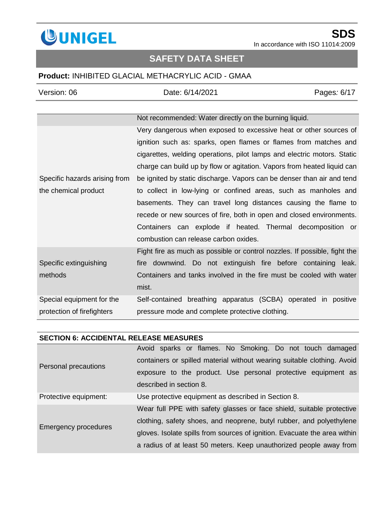

## **SAFETY DATA SHEET**

## **Product:** INHIBITED GLACIAL METHACRYLIC ACID - GMAA

| Version: 06                   | Date: 6/14/2021                                                           | Pages: 6/17 |
|-------------------------------|---------------------------------------------------------------------------|-------------|
|                               |                                                                           |             |
|                               | Not recommended: Water directly on the burning liquid.                    |             |
|                               | Very dangerous when exposed to excessive heat or other sources of         |             |
|                               | ignition such as: sparks, open flames or flames from matches and          |             |
|                               | cigarettes, welding operations, pilot lamps and electric motors. Static   |             |
|                               | charge can build up by flow or agitation. Vapors from heated liquid can   |             |
| Specific hazards arising from | be ignited by static discharge. Vapors can be denser than air and tend    |             |
| the chemical product          | to collect in low-lying or confined areas, such as manholes and           |             |
|                               | basements. They can travel long distances causing the flame to            |             |
|                               | recede or new sources of fire, both in open and closed environments.      |             |
|                               | Containers can explode if heated. Thermal decomposition or                |             |
|                               | combustion can release carbon oxides.                                     |             |
|                               | Fight fire as much as possible or control nozzles. If possible, fight the |             |
| Specific extinguishing        | fire downwind. Do not extinguish fire before containing                   | leak.       |
| methods                       | Containers and tanks involved in the fire must be cooled with water       |             |
|                               | mist.                                                                     |             |
| Special equipment for the     | Self-contained breathing apparatus (SCBA) operated in positive            |             |
| protection of firefighters    | pressure mode and complete protective clothing.                           |             |
|                               |                                                                           |             |

#### **SECTION 6: ACCIDENTAL RELEASE MEASURES**

|                             | Avoid sparks or flames. No Smoking. Do not touch damaged                  |
|-----------------------------|---------------------------------------------------------------------------|
| Personal precautions        | containers or spilled material without wearing suitable clothing. Avoid   |
|                             | exposure to the product. Use personal protective equipment as             |
|                             | described in section 8.                                                   |
| Protective equipment:       | Use protective equipment as described in Section 8.                       |
| <b>Emergency procedures</b> | Wear full PPE with safety glasses or face shield, suitable protective     |
|                             | clothing, safety shoes, and neoprene, butyl rubber, and polyethylene      |
|                             | gloves. Isolate spills from sources of ignition. Evacuate the area within |
|                             | a radius of at least 50 meters. Keep unauthorized people away from        |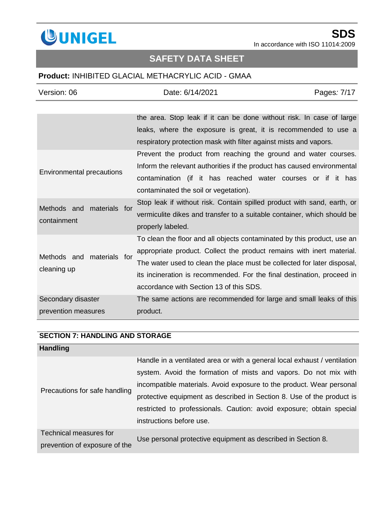

# **SAFETY DATA SHEET**

## **Product:** INHIBITED GLACIAL METHACRYLIC ACID - GMAA

| Version: 06                              | Date: 6/14/2021                                                         | Pages: 7/17 |
|------------------------------------------|-------------------------------------------------------------------------|-------------|
|                                          |                                                                         |             |
|                                          | the area. Stop leak if it can be done without risk. In case of large    |             |
|                                          | leaks, where the exposure is great, it is recommended to use a          |             |
|                                          | respiratory protection mask with filter against mists and vapors.       |             |
|                                          | Prevent the product from reaching the ground and water courses.         |             |
|                                          | Inform the relevant authorities if the product has caused environmental |             |
| <b>Environmental precautions</b>         | contamination (if it has reached water courses or if it has             |             |
|                                          | contaminated the soil or vegetation).                                   |             |
|                                          | Stop leak if without risk. Contain spilled product with sand, earth, or |             |
| materials for<br>Methods and             | vermiculite dikes and transfer to a suitable container, which should be |             |
| containment                              | properly labeled.                                                       |             |
|                                          | To clean the floor and all objects contaminated by this product, use an |             |
|                                          | appropriate product. Collect the product remains with inert material.   |             |
| Methods and materials for<br>cleaning up | The water used to clean the place must be collected for later disposal, |             |
|                                          | its incineration is recommended. For the final destination, proceed in  |             |
|                                          | accordance with Section 13 of this SDS.                                 |             |
| Secondary disaster                       | The same actions are recommended for large and small leaks of this      |             |
| prevention measures                      | product.                                                                |             |

### **SECTION 7: HANDLING AND STORAGE**

| <b>Handling</b>               |                                                                           |  |
|-------------------------------|---------------------------------------------------------------------------|--|
|                               | Handle in a ventilated area or with a general local exhaust / ventilation |  |
|                               | system. Avoid the formation of mists and vapors. Do not mix with          |  |
|                               | incompatible materials. Avoid exposure to the product. Wear personal      |  |
| Precautions for safe handling | protective equipment as described in Section 8. Use of the product is     |  |
|                               | restricted to professionals. Caution: avoid exposure; obtain special      |  |
|                               | instructions before use.                                                  |  |
| Technical measures for        | Use personal protective equipment as described in Section 8.              |  |
| prevention of exposure of the |                                                                           |  |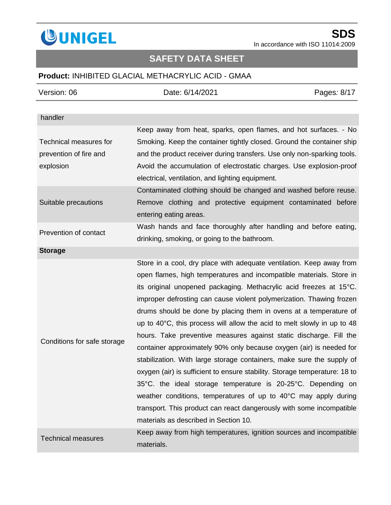

# **SAFETY DATA SHEET**

## **Product:** INHIBITED GLACIAL METHACRYLIC ACID - GMAA

| Version: 06                 | Date: 6/14/2021                                                                                                                                                                                                                                                                                                                                                                                                                                                                                                                                                                                                                                                                                                                                                                                                                                                                                                                                                                                             | Pages: 8/17 |
|-----------------------------|-------------------------------------------------------------------------------------------------------------------------------------------------------------------------------------------------------------------------------------------------------------------------------------------------------------------------------------------------------------------------------------------------------------------------------------------------------------------------------------------------------------------------------------------------------------------------------------------------------------------------------------------------------------------------------------------------------------------------------------------------------------------------------------------------------------------------------------------------------------------------------------------------------------------------------------------------------------------------------------------------------------|-------------|
|                             |                                                                                                                                                                                                                                                                                                                                                                                                                                                                                                                                                                                                                                                                                                                                                                                                                                                                                                                                                                                                             |             |
| handler                     |                                                                                                                                                                                                                                                                                                                                                                                                                                                                                                                                                                                                                                                                                                                                                                                                                                                                                                                                                                                                             |             |
|                             | Keep away from heat, sparks, open flames, and hot surfaces. - No                                                                                                                                                                                                                                                                                                                                                                                                                                                                                                                                                                                                                                                                                                                                                                                                                                                                                                                                            |             |
| Technical measures for      | Smoking. Keep the container tightly closed. Ground the container ship                                                                                                                                                                                                                                                                                                                                                                                                                                                                                                                                                                                                                                                                                                                                                                                                                                                                                                                                       |             |
| prevention of fire and      | and the product receiver during transfers. Use only non-sparking tools.                                                                                                                                                                                                                                                                                                                                                                                                                                                                                                                                                                                                                                                                                                                                                                                                                                                                                                                                     |             |
| explosion                   | Avoid the accumulation of electrostatic charges. Use explosion-proof                                                                                                                                                                                                                                                                                                                                                                                                                                                                                                                                                                                                                                                                                                                                                                                                                                                                                                                                        |             |
|                             | electrical, ventilation, and lighting equipment.                                                                                                                                                                                                                                                                                                                                                                                                                                                                                                                                                                                                                                                                                                                                                                                                                                                                                                                                                            |             |
|                             | Contaminated clothing should be changed and washed before reuse.                                                                                                                                                                                                                                                                                                                                                                                                                                                                                                                                                                                                                                                                                                                                                                                                                                                                                                                                            |             |
| Suitable precautions        | Remove clothing and protective equipment contaminated before                                                                                                                                                                                                                                                                                                                                                                                                                                                                                                                                                                                                                                                                                                                                                                                                                                                                                                                                                |             |
|                             | entering eating areas.                                                                                                                                                                                                                                                                                                                                                                                                                                                                                                                                                                                                                                                                                                                                                                                                                                                                                                                                                                                      |             |
| Prevention of contact       | Wash hands and face thoroughly after handling and before eating,                                                                                                                                                                                                                                                                                                                                                                                                                                                                                                                                                                                                                                                                                                                                                                                                                                                                                                                                            |             |
|                             | drinking, smoking, or going to the bathroom.                                                                                                                                                                                                                                                                                                                                                                                                                                                                                                                                                                                                                                                                                                                                                                                                                                                                                                                                                                |             |
| <b>Storage</b>              |                                                                                                                                                                                                                                                                                                                                                                                                                                                                                                                                                                                                                                                                                                                                                                                                                                                                                                                                                                                                             |             |
| Conditions for safe storage | Store in a cool, dry place with adequate ventilation. Keep away from<br>open flames, high temperatures and incompatible materials. Store in<br>its original unopened packaging. Methacrylic acid freezes at 15°C.<br>improper defrosting can cause violent polymerization. Thawing frozen<br>drums should be done by placing them in ovens at a temperature of<br>up to $40^{\circ}$ C, this process will allow the acid to melt slowly in up to 48<br>hours. Take preventive measures against static discharge. Fill the<br>container approximately 90% only because oxygen (air) is needed for<br>stabilization. With large storage containers, make sure the supply of<br>oxygen (air) is sufficient to ensure stability. Storage temperature: 18 to<br>35°C. the ideal storage temperature is 20-25°C. Depending on<br>weather conditions, temperatures of up to 40°C may apply during<br>transport. This product can react dangerously with some incompatible<br>materials as described in Section 10. |             |
| <b>Technical measures</b>   | Keep away from high temperatures, ignition sources and incompatible<br>materials.                                                                                                                                                                                                                                                                                                                                                                                                                                                                                                                                                                                                                                                                                                                                                                                                                                                                                                                           |             |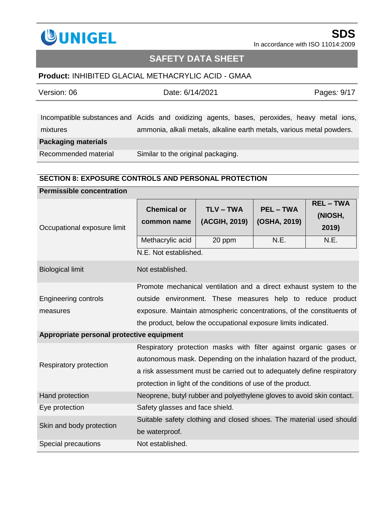

## **SAFETY DATA SHEET**

## **Product:** INHIBITED GLACIAL METHACRYLIC ACID - GMAA

| Version: 06                | Date: 6/14/2021                                                                             | Pages: 9/17 |
|----------------------------|---------------------------------------------------------------------------------------------|-------------|
|                            |                                                                                             |             |
|                            | Incompatible substances and Acids and oxidizing agents, bases, peroxides, heavy metal ions, |             |
| mixtures                   | ammonia, alkali metals, alkaline earth metals, various metal powders.                       |             |
| <b>Packaging materials</b> |                                                                                             |             |
| Recommended material       | Similar to the original packaging.                                                          |             |

#### **SECTION 8: EXPOSURE CONTROLS AND PERSONAL PROTECTION**

| <b>Permissible concentration</b>          |                                                                                                                                                                                                                                                                                    |                              |                                  |                                    |
|-------------------------------------------|------------------------------------------------------------------------------------------------------------------------------------------------------------------------------------------------------------------------------------------------------------------------------------|------------------------------|----------------------------------|------------------------------------|
| Occupational exposure limit               | <b>Chemical or</b><br>common name                                                                                                                                                                                                                                                  | $TLV - TWA$<br>(ACGIH, 2019) | <b>PEL - TWA</b><br>(OSHA, 2019) | <b>REL-TWA</b><br>(NIOSH,<br>2019) |
|                                           | Methacrylic acid                                                                                                                                                                                                                                                                   | 20 ppm                       | N.E.                             | N.E.                               |
|                                           | N.E. Not established.                                                                                                                                                                                                                                                              |                              |                                  |                                    |
| <b>Biological limit</b>                   | Not established.                                                                                                                                                                                                                                                                   |                              |                                  |                                    |
|                                           | Promote mechanical ventilation and a direct exhaust system to the                                                                                                                                                                                                                  |                              |                                  |                                    |
| <b>Engineering controls</b>               | outside environment. These measures help to reduce product                                                                                                                                                                                                                         |                              |                                  |                                    |
| measures                                  | exposure. Maintain atmospheric concentrations, of the constituents of                                                                                                                                                                                                              |                              |                                  |                                    |
|                                           | the product, below the occupational exposure limits indicated.                                                                                                                                                                                                                     |                              |                                  |                                    |
| Appropriate personal protective equipment |                                                                                                                                                                                                                                                                                    |                              |                                  |                                    |
| Respiratory protection                    | Respiratory protection masks with filter against organic gases or<br>autonomous mask. Depending on the inhalation hazard of the product,<br>a risk assessment must be carried out to adequately define respiratory<br>protection in light of the conditions of use of the product. |                              |                                  |                                    |
| Hand protection                           | Neoprene, butyl rubber and polyethylene gloves to avoid skin contact.                                                                                                                                                                                                              |                              |                                  |                                    |
| Eye protection                            | Safety glasses and face shield.                                                                                                                                                                                                                                                    |                              |                                  |                                    |
| Skin and body protection                  | Suitable safety clothing and closed shoes. The material used should<br>be waterproof.                                                                                                                                                                                              |                              |                                  |                                    |
| Special precautions                       | Not established.                                                                                                                                                                                                                                                                   |                              |                                  |                                    |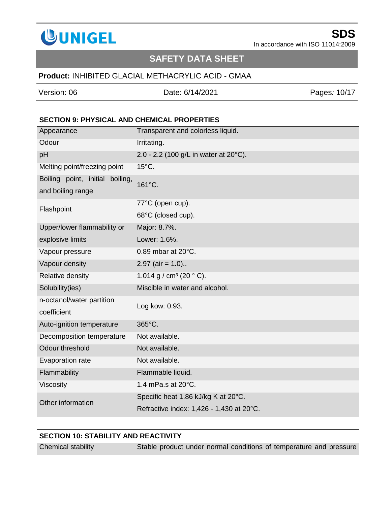

## **SAFETY DATA SHEET**

### **Product:** INHIBITED GLACIAL METHACRYLIC ACID - GMAA

Version: 06 Date: 6/14/2021 Pages*:* 10/17

|                                                      | <b>SECTION 9: PHYSICAL AND CHEMICAL PROPERTIES</b> |  |
|------------------------------------------------------|----------------------------------------------------|--|
| Appearance                                           | Transparent and colorless liquid.                  |  |
| Odour                                                | Irritating.                                        |  |
| pH                                                   | 2.0 - 2.2 (100 g/L in water at 20°C).              |  |
| Melting point/freezing point                         | $15^{\circ}$ C.                                    |  |
| Boiling point, initial boiling,<br>and boiling range | 161°C.                                             |  |
| Flashpoint                                           | 77°C (open cup).                                   |  |
|                                                      | 68°C (closed cup).                                 |  |
| Upper/lower flammability or                          | Major: 8.7%.                                       |  |
| explosive limits                                     | Lower: 1.6%.                                       |  |
| Vapour pressure                                      | 0.89 mbar at 20°C.                                 |  |
| Vapour density                                       | $2.97$ (air = 1.0)                                 |  |
| Relative density                                     | 1.014 g / cm <sup>3</sup> (20 $^{\circ}$ C).       |  |
| Solubility(ies)                                      | Miscible in water and alcohol.                     |  |
| n-octanol/water partition<br>coefficient             | Log kow: 0.93.                                     |  |
| Auto-ignition temperature                            | 365°C.                                             |  |
| Decomposition temperature                            | Not available.                                     |  |
| Odour threshold                                      | Not available.                                     |  |
| Evaporation rate                                     | Not available.                                     |  |
| Flammability                                         | Flammable liquid.                                  |  |
| Viscosity                                            | 1.4 mPa.s at 20°C.                                 |  |
| Other information                                    | Specific heat 1.86 kJ/kg K at 20°C.                |  |
|                                                      | Refractive index: 1,426 - 1,430 at 20°C.           |  |

### **SECTION 10: STABILITY AND REACTIVITY**

Chemical stability Stable product under normal conditions of temperature and pressure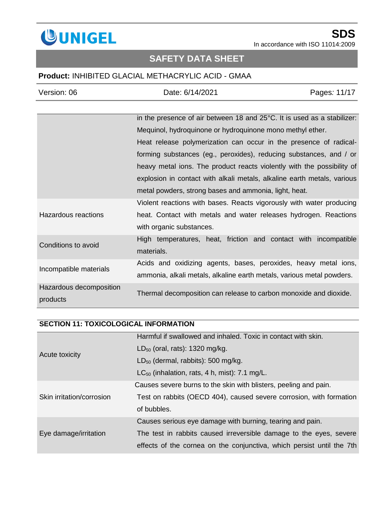

# **SAFETY DATA SHEET**

### **Product:** INHIBITED GLACIAL METHACRYLIC ACID - GMAA

| Version: 06             | Date: 6/14/2021                                                         | Pages: 11/17 |
|-------------------------|-------------------------------------------------------------------------|--------------|
|                         |                                                                         |              |
|                         | in the presence of air between 18 and 25°C. It is used as a stabilizer: |              |
|                         | Mequinol, hydroquinone or hydroquinone mono methyl ether.               |              |
|                         | Heat release polymerization can occur in the presence of radical-       |              |
|                         | forming substances (eg., peroxides), reducing substances, and / or      |              |
|                         | heavy metal ions. The product reacts violently with the possibility of  |              |
|                         | explosion in contact with alkali metals, alkaline earth metals, various |              |
|                         | metal powders, strong bases and ammonia, light, heat.                   |              |
|                         | Violent reactions with bases. Reacts vigorously with water producing    |              |
| Hazardous reactions     | heat. Contact with metals and water releases hydrogen. Reactions        |              |
|                         | with organic substances.                                                |              |
| Conditions to avoid     | High temperatures, heat, friction and contact with incompatible         |              |
|                         | materials.                                                              |              |
| Incompatible materials  | Acids and oxidizing agents, bases, peroxides, heavy metal ions,         |              |
|                         | ammonia, alkali metals, alkaline earth metals, various metal powders.   |              |
| Hazardous decomposition |                                                                         |              |
| products                | Thermal decomposition can release to carbon monoxide and dioxide.       |              |

## **SECTION 11: TOXICOLOGICAL INFORMATION**

|                           | Harmful if swallowed and inhaled. Toxic in contact with skin.         |
|---------------------------|-----------------------------------------------------------------------|
| Acute toxicity            | $LD_{50}$ (oral, rats): 1320 mg/kg.                                   |
|                           | $LD_{50}$ (dermal, rabbits): 500 mg/kg.                               |
|                           | $LC_{50}$ (inhalation, rats, 4 h, mist): 7.1 mg/L.                    |
|                           | Causes severe burns to the skin with blisters, peeling and pain.      |
| Skin irritation/corrosion | Test on rabbits (OECD 404), caused severe corrosion, with formation   |
|                           | of bubbles.                                                           |
|                           | Causes serious eye damage with burning, tearing and pain.             |
| Eye damage/irritation     | The test in rabbits caused irreversible damage to the eyes, severe    |
|                           | effects of the cornea on the conjunctiva, which persist until the 7th |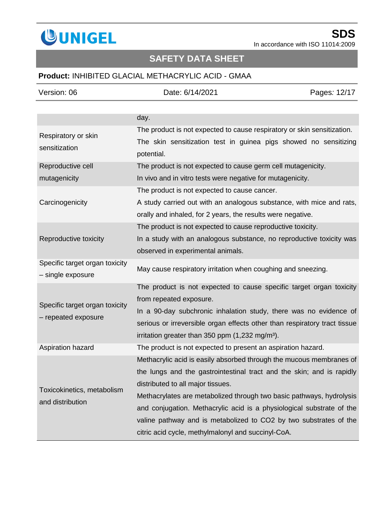

# **SAFETY DATA SHEET**

## **Product:** INHIBITED GLACIAL METHACRYLIC ACID - GMAA

| Version: 06                                         | Date: 6/14/2021                                                                | Pages: 12/17 |
|-----------------------------------------------------|--------------------------------------------------------------------------------|--------------|
|                                                     |                                                                                |              |
|                                                     | day.                                                                           |              |
| Respiratory or skin                                 | The product is not expected to cause respiratory or skin sensitization.        |              |
| sensitization                                       | The skin sensitization test in guinea pigs showed no sensitizing<br>potential. |              |
| Reproductive cell                                   | The product is not expected to cause germ cell mutagenicity.                   |              |
| mutagenicity                                        | In vivo and in vitro tests were negative for mutagenicity.                     |              |
|                                                     | The product is not expected to cause cancer.                                   |              |
| Carcinogenicity                                     | A study carried out with an analogous substance, with mice and rats,           |              |
|                                                     | orally and inhaled, for 2 years, the results were negative.                    |              |
|                                                     | The product is not expected to cause reproductive toxicity.                    |              |
| Reproductive toxicity                               | In a study with an analogous substance, no reproductive toxicity was           |              |
|                                                     | observed in experimental animals.                                              |              |
| Specific target organ toxicity<br>- single exposure | May cause respiratory irritation when coughing and sneezing.                   |              |
|                                                     | The product is not expected to cause specific target organ toxicity            |              |
| Specific target organ toxicity                      | from repeated exposure.                                                        |              |
| - repeated exposure                                 | In a 90-day subchronic inhalation study, there was no evidence of              |              |
|                                                     | serious or irreversible organ effects other than respiratory tract tissue      |              |
|                                                     | irritation greater than 350 ppm (1,232 mg/m <sup>3</sup> ).                    |              |
| Aspiration hazard                                   | The product is not expected to present an aspiration hazard.                   |              |
|                                                     | Methacrylic acid is easily absorbed through the mucous membranes of            |              |
|                                                     | the lungs and the gastrointestinal tract and the skin; and is rapidly          |              |
| Toxicokinetics, metabolism<br>and distribution      | distributed to all major tissues.                                              |              |
|                                                     | Methacrylates are metabolized through two basic pathways, hydrolysis           |              |
|                                                     | and conjugation. Methacrylic acid is a physiological substrate of the          |              |
|                                                     | valine pathway and is metabolized to CO2 by two substrates of the              |              |
|                                                     | citric acid cycle, methylmalonyl and succinyl-CoA.                             |              |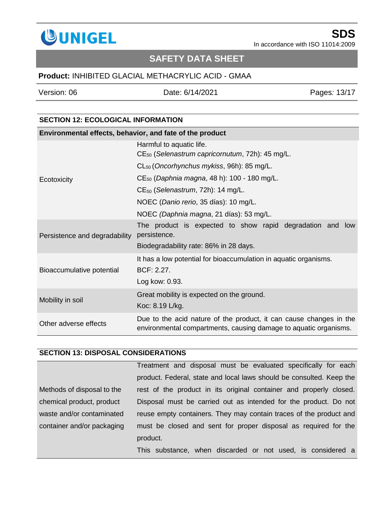

# **SAFETY DATA SHEET**

## **Product:** INHIBITED GLACIAL METHACRYLIC ACID - GMAA

Version: 06 Date: 6/14/2021 Pages*:* 13/17

### **SECTION 12: ECOLOGICAL INFORMATION**

| Environmental effects, behavior, and fate of the product |                                                                                                                                        |  |
|----------------------------------------------------------|----------------------------------------------------------------------------------------------------------------------------------------|--|
|                                                          | Harmful to aquatic life.<br>CE <sub>50</sub> (Selenastrum capricornutum, 72h): 45 mg/L.                                                |  |
|                                                          | CL <sub>50</sub> (Oncorhynchus mykiss, 96h): 85 mg/L.                                                                                  |  |
| Ecotoxicity                                              | CE <sub>50</sub> (Daphnia magna, 48 h): 100 - 180 mg/L.                                                                                |  |
|                                                          | $CE_{50}$ (Selenastrum, 72h): 14 mg/L.                                                                                                 |  |
|                                                          | NOEC (Danio rerio, 35 días): 10 mg/L.                                                                                                  |  |
|                                                          | NOEC (Daphnia magna, 21 días): 53 mg/L.                                                                                                |  |
| Persistence and degradability                            | The product is expected to show rapid degradation and low<br>persistence.<br>Biodegradability rate: 86% in 28 days.                    |  |
| Bioaccumulative potential                                | It has a low potential for bioaccumulation in aquatic organisms.<br>BCF: 2.27.<br>Log kow: 0.93.                                       |  |
| Mobility in soil                                         | Great mobility is expected on the ground.<br>Koc: 8.19 L/kg.                                                                           |  |
| Other adverse effects                                    | Due to the acid nature of the product, it can cause changes in the<br>environmental compartments, causing damage to aquatic organisms. |  |

### **SECTION 13: DISPOSAL CONSIDERATIONS**

|                            | Treatment and disposal must be evaluated specifically for each       |
|----------------------------|----------------------------------------------------------------------|
|                            | product. Federal, state and local laws should be consulted. Keep the |
| Methods of disposal to the | rest of the product in its original container and properly closed.   |
| chemical product, product  | Disposal must be carried out as intended for the product. Do not     |
| waste and/or contaminated  | reuse empty containers. They may contain traces of the product and   |
| container and/or packaging | must be closed and sent for proper disposal as required for the      |
|                            | product.                                                             |
|                            | This substance, when discarded or not used, is considered a          |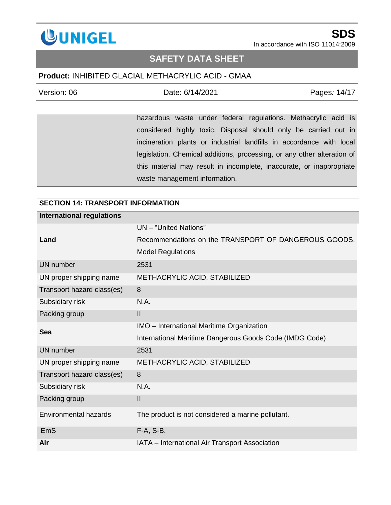

## **SAFETY DATA SHEET**

### **Product:** INHIBITED GLACIAL METHACRYLIC ACID - GMAA

| Version: 06 | Date: 6/14/2021 | Pages: 14/17 |
|-------------|-----------------|--------------|
|             |                 |              |

hazardous waste under federal regulations. Methacrylic acid is considered highly toxic. Disposal should only be carried out in incineration plants or industrial landfills in accordance with local legislation. Chemical additions, processing, or any other alteration of this material may result in incomplete, inaccurate, or inappropriate waste management information.

| SECTION 14: TRANSPORT INFORMATION |                                                         |  |
|-----------------------------------|---------------------------------------------------------|--|
| <b>International regulations</b>  |                                                         |  |
|                                   | UN - "United Nations"                                   |  |
| Land                              | Recommendations on the TRANSPORT OF DANGEROUS GOODS.    |  |
|                                   | <b>Model Regulations</b>                                |  |
| <b>UN</b> number                  | 2531                                                    |  |
| UN proper shipping name           | METHACRYLIC ACID, STABILIZED                            |  |
| Transport hazard class(es)        | 8                                                       |  |
| Subsidiary risk                   | N.A.                                                    |  |
| Packing group                     | $\mathbf{II}$                                           |  |
| Sea                               | IMO - International Maritime Organization               |  |
|                                   | International Maritime Dangerous Goods Code (IMDG Code) |  |
| <b>UN</b> number                  | 2531                                                    |  |
| UN proper shipping name           | METHACRYLIC ACID, STABILIZED                            |  |
| Transport hazard class(es)        | 8                                                       |  |
| Subsidiary risk                   | N.A.                                                    |  |
| Packing group                     | $\mathbf{II}$                                           |  |
| <b>Environmental hazards</b>      | The product is not considered a marine pollutant.       |  |
| <b>EmS</b>                        | F-A, S-B.                                               |  |
| Air                               | IATA - International Air Transport Association          |  |

#### **SECTION 14: TRANSPORT INFORMATION**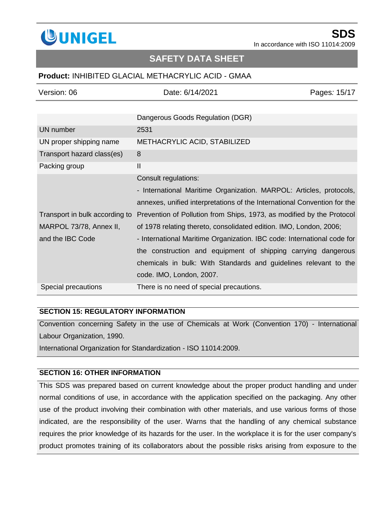

## **SAFETY DATA SHEET**

### **Product:** INHIBITED GLACIAL METHACRYLIC ACID - GMAA

| Version: 06                    | Date: 6/14/2021                                                          | Pages: 15/17 |
|--------------------------------|--------------------------------------------------------------------------|--------------|
|                                |                                                                          |              |
|                                | Dangerous Goods Regulation (DGR)                                         |              |
| UN number                      | 2531                                                                     |              |
| UN proper shipping name        | METHACRYLIC ACID, STABILIZED                                             |              |
| Transport hazard class(es)     | 8                                                                        |              |
| Packing group                  | $\mathbf{I}$                                                             |              |
|                                | Consult regulations:                                                     |              |
|                                | - International Maritime Organization. MARPOL: Articles, protocols,      |              |
|                                | annexes, unified interpretations of the International Convention for the |              |
| Transport in bulk according to | Prevention of Pollution from Ships, 1973, as modified by the Protocol    |              |
| MARPOL 73/78, Annex II,        | of 1978 relating thereto, consolidated edition. IMO, London, 2006;       |              |
| and the IBC Code               | - International Maritime Organization. IBC code: International code for  |              |
|                                | the construction and equipment of shipping carrying dangerous            |              |
|                                | chemicals in bulk: With Standards and guidelines relevant to the         |              |
|                                | code. IMO, London, 2007.                                                 |              |
| Special precautions            | There is no need of special precautions.                                 |              |

#### **SECTION 15: REGULATORY INFORMATION**

Convention concerning Safety in the use of Chemicals at Work (Convention 170) - International Labour Organization, 1990.

International Organization for Standardization - ISO 11014:2009.

### **SECTION 16: OTHER INFORMATION**

This SDS was prepared based on current knowledge about the proper product handling and under normal conditions of use, in accordance with the application specified on the packaging. Any other use of the product involving their combination with other materials, and use various forms of those indicated, are the responsibility of the user. Warns that the handling of any chemical substance requires the prior knowledge of its hazards for the user. In the workplace it is for the user company's product promotes training of its collaborators about the possible risks arising from exposure to the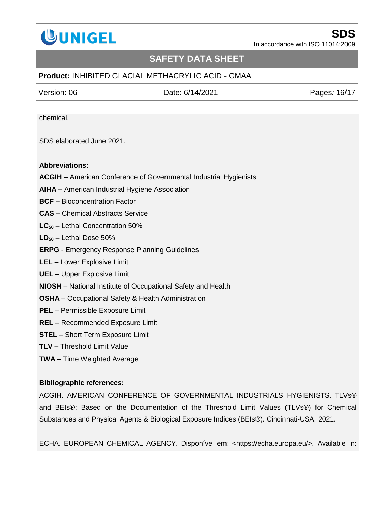

## **SAFETY DATA SHEET**

### **Product:** INHIBITED GLACIAL METHACRYLIC ACID - GMAA

Version: 06 Date: 6/14/2021 Pages*:* 16/17

chemical.

SDS elaborated June 2021.

#### **Abbreviations:**

- **ACGIH**  American Conference of Governmental Industrial Hygienists
- **AIHA –** American Industrial Hygiene Association
- **BCF –** Bioconcentration Factor
- **CAS –** Chemical Abstracts Service
- **LC<sup>50</sup> –** Lethal Concentration 50%
- **LD<sup>50</sup> –** Lethal Dose 50%
- **ERPG**  Emergency Response Planning Guidelines
- **LEL** Lower Explosive Limit
- **UEL** Upper Explosive Limit
- **NIOSH** [National Institute of Occupational Safety and Health](http://www.niosh.com.my/)
- **OSHA** Occupational Safety & Health Administration
- **PEL** Permissible Exposure Limit
- **REL** Recommended Exposure Limit
- **STEL**  Short Term Exposure Limit
- **TLV –** Threshold Limit Value
- **TWA –** Time Weighted Average

#### **Bibliographic references:**

ACGIH. AMERICAN CONFERENCE OF GOVERNMENTAL INDUSTRIALS HYGIENISTS. TLVs® and BEIs®: Based on the Documentation of the Threshold Limit Values (TLVs®) for Chemical Substances and Physical Agents & Biological Exposure Indices (BEIs®). Cincinnati-USA, 2021.

ECHA. EUROPEAN CHEMICAL AGENCY. Disponível em: <https://echa.europa.eu/>. Available in: